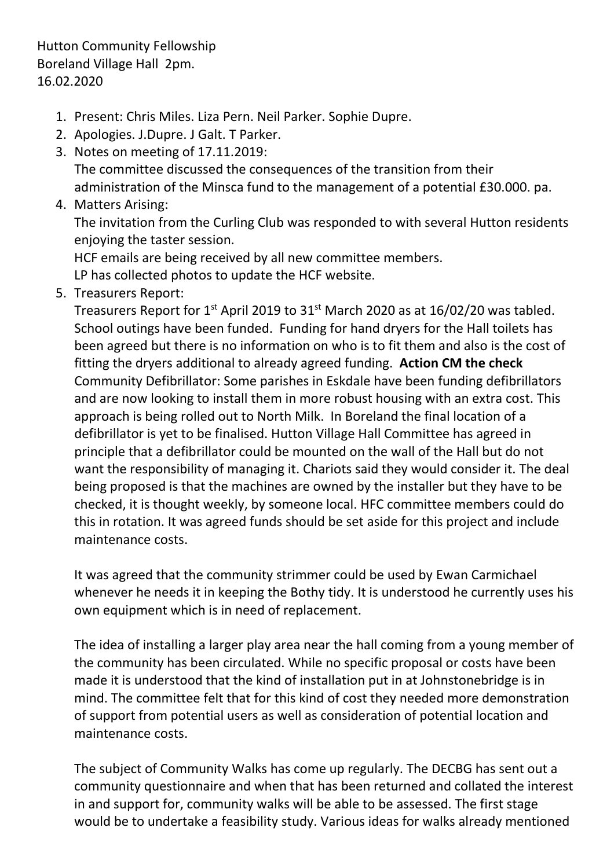Hutton Community Fellowship Boreland Village Hall 2pm. 16.02.2020

- 1. Present: Chris Miles. Liza Pern. Neil Parker. Sophie Dupre.
- 2. Apologies. J.Dupre. J Galt. T Parker.
- 3. Notes on meeting of 17.11.2019:

The committee discussed the consequences of the transition from their administration of the Minsca fund to the management of a potential £30.000. pa.

4. Matters Arising:

The invitation from the Curling Club was responded to with several Hutton residents enjoying the taster session.

HCF emails are being received by all new committee members.

LP has collected photos to update the HCF website.

5. Treasurers Report:

Treasurers Report for  $1^{st}$  April 2019 to  $31^{st}$  March 2020 as at  $16/02/20$  was tabled. School outings have been funded. Funding for hand dryers for the Hall toilets has been agreed but there is no information on who is to fit them and also is the cost of fitting the dryers additional to already agreed funding. **Action CM the check** Community Defibrillator: Some parishes in Eskdale have been funding defibrillators and are now looking to install them in more robust housing with an extra cost. This approach is being rolled out to North Milk. In Boreland the final location of a defibrillator is yet to be finalised. Hutton Village Hall Committee has agreed in principle that a defibrillator could be mounted on the wall of the Hall but do not want the responsibility of managing it. Chariots said they would consider it. The deal being proposed is that the machines are owned by the installer but they have to be checked, it is thought weekly, by someone local. HFC committee members could do this in rotation. It was agreed funds should be set aside for this project and include maintenance costs.

It was agreed that the community strimmer could be used by Ewan Carmichael whenever he needs it in keeping the Bothy tidy. It is understood he currently uses his own equipment which is in need of replacement.

The idea of installing a larger play area near the hall coming from a young member of the community has been circulated. While no specific proposal or costs have been made it is understood that the kind of installation put in at Johnstonebridge is in mind. The committee felt that for this kind of cost they needed more demonstration of support from potential users as well as consideration of potential location and maintenance costs.

The subject of Community Walks has come up regularly. The DECBG has sent out a community questionnaire and when that has been returned and collated the interest in and support for, community walks will be able to be assessed. The first stage would be to undertake a feasibility study. Various ideas for walks already mentioned